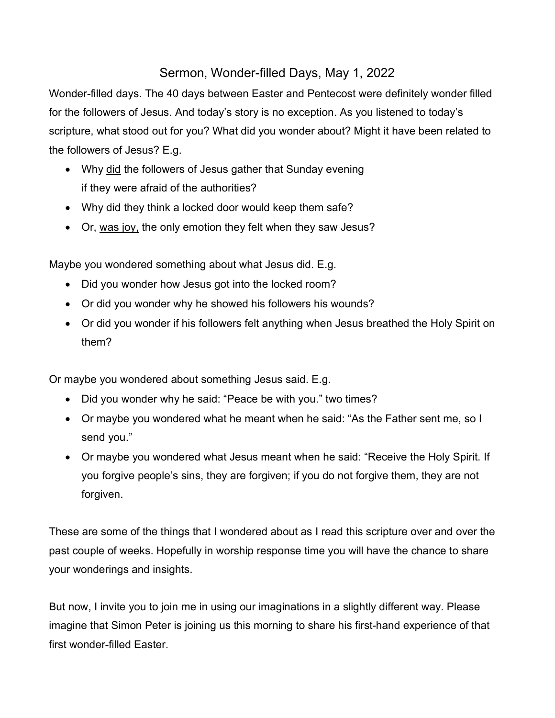## Sermon, Wonder-filled Days, May 1, 2022

Wonder-filled days. The 40 days between Easter and Pentecost were definitely wonder filled for the followers of Jesus. And today's story is no exception. As you listened to today's scripture, what stood out for you? What did you wonder about? Might it have been related to the followers of Jesus? E.g.

- Why did the followers of Jesus gather that Sunday evening if they were afraid of the authorities?
- Why did they think a locked door would keep them safe?
- Or, was joy, the only emotion they felt when they saw Jesus?

Maybe you wondered something about what Jesus did. E.g.

- Did you wonder how Jesus got into the locked room?
- Or did you wonder why he showed his followers his wounds?
- Or did you wonder if his followers felt anything when Jesus breathed the Holy Spirit on them?

Or maybe you wondered about something Jesus said. E.g.

- Did you wonder why he said: "Peace be with you." two times?
- Or maybe you wondered what he meant when he said: "As the Father sent me, so I send you."
- Or maybe you wondered what Jesus meant when he said: "Receive the Holy Spirit. If you forgive people's sins, they are forgiven; if you do not forgive them, they are not forgiven.

These are some of the things that I wondered about as I read this scripture over and over the past couple of weeks. Hopefully in worship response time you will have the chance to share your wonderings and insights.

But now, I invite you to join me in using our imaginations in a slightly different way. Please imagine that Simon Peter is joining us this morning to share his first-hand experience of that first wonder-filled Easter.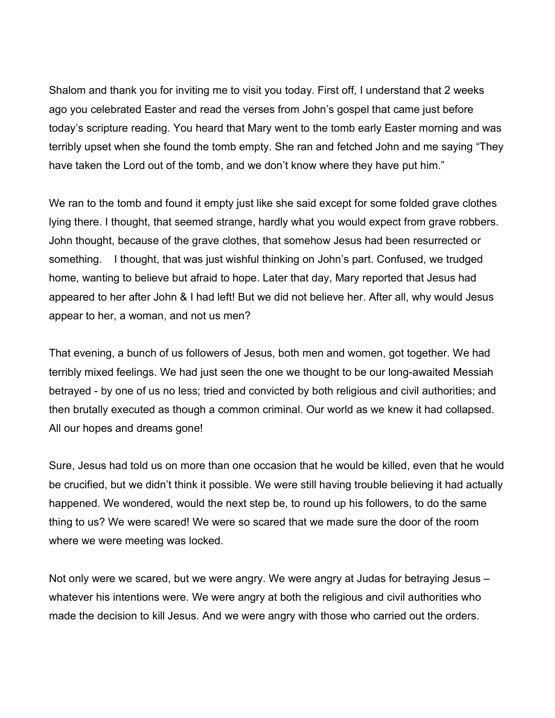Shalom and thank you for inviting me to visit you today. First off, I understand that 2 weeks ago you celebrated Easter and read the verses from John's gospel that came just before today's scripture reading. You heard that Mary went to the tomb early Easter morning and was terribly upset when she found the tomb empty. She ran and fetched John and me saying "They have taken the Lord out of the tomb, and we don't know where they have put him."

We ran to the tomb and found it empty just like she said except for some folded grave clothes lying there. I thought, that seemed strange, hardly what you would expect from grave robbers. John thought, because of the grave clothes, that somehow Jesus had been resurrected or something. I thought, that was just wishful thinking on John's part. Confused, we trudged home, wanting to believe but afraid to hope. Later that day, Mary reported that Jesus had appeared to her after John & I had left! But we did not believe her. After all, why would Jesus appear to her, a woman, and not us men?

That evening, a bunch of us followers of Jesus, both men and women, got together. We had terribly mixed feelings. We had just seen the one we thought to be our long-awaited Messiah betrayed - by one of us no less; tried and convicted by both religious and civil authorities; and then brutally executed as though a common criminal. Our world as we knew it had collapsed. All our hopes and dreams gone!

Sure, Jesus had told us on more than one occasion that he would be killed, even that he would be crucified, but we didn't think it possible. We were still having trouble believing it had actually happened. We wondered, would the next step be, to round up his followers, to do the same thing to us? We were scared! We were so scared that we made sure the door of the room where we were meeting was locked.

Not only were we scared, but we were angry. We were angry at Judas for betraying Jesus – whatever his intentions were. We were angry at both the religious and civil authorities who made the decision to kill Jesus. And we were angry with those who carried out the orders.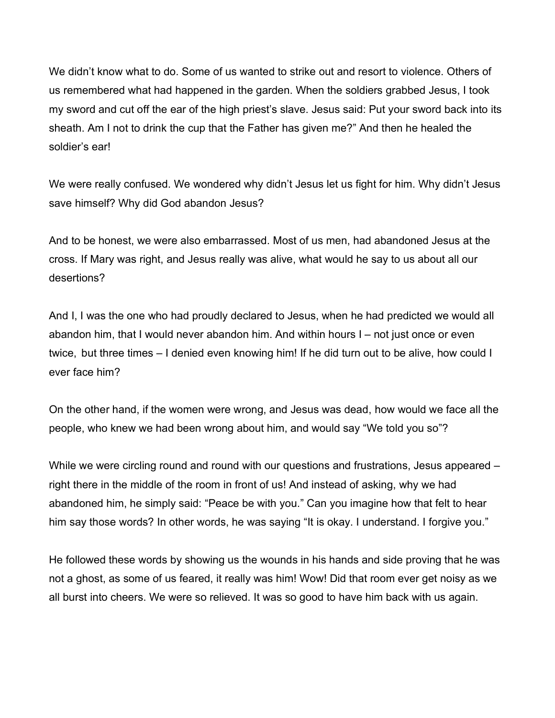We didn't know what to do. Some of us wanted to strike out and resort to violence. Others of us remembered what had happened in the garden. When the soldiers grabbed Jesus, I took my sword and cut off the ear of the high priest's slave. Jesus said: Put your sword back into its sheath. Am I not to drink the cup that the Father has given me?" And then he healed the soldier's ear!

We were really confused. We wondered why didn't Jesus let us fight for him. Why didn't Jesus save himself? Why did God abandon Jesus?

And to be honest, we were also embarrassed. Most of us men, had abandoned Jesus at the cross. If Mary was right, and Jesus really was alive, what would he say to us about all our desertions?

And I, I was the one who had proudly declared to Jesus, when he had predicted we would all abandon him, that I would never abandon him. And within hours I – not just once or even twice, but three times – I denied even knowing him! If he did turn out to be alive, how could I ever face him?

On the other hand, if the women were wrong, and Jesus was dead, how would we face all the people, who knew we had been wrong about him, and would say "We told you so"?

While we were circling round and round with our questions and frustrations, Jesus appeared – right there in the middle of the room in front of us! And instead of asking, why we had abandoned him, he simply said: "Peace be with you." Can you imagine how that felt to hear him say those words? In other words, he was saying "It is okay. I understand. I forgive you."

He followed these words by showing us the wounds in his hands and side proving that he was not a ghost, as some of us feared, it really was him! Wow! Did that room ever get noisy as we all burst into cheers. We were so relieved. It was so good to have him back with us again.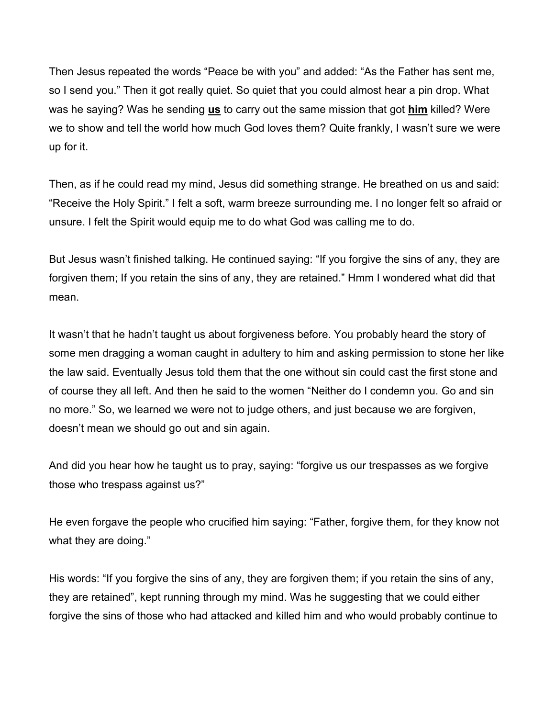Then Jesus repeated the words "Peace be with you" and added: "As the Father has sent me, so I send you." Then it got really quiet. So quiet that you could almost hear a pin drop. What was he saying? Was he sending us to carry out the same mission that got him killed? Were we to show and tell the world how much God loves them? Quite frankly, I wasn't sure we were up for it.

Then, as if he could read my mind, Jesus did something strange. He breathed on us and said: "Receive the Holy Spirit." I felt a soft, warm breeze surrounding me. I no longer felt so afraid or unsure. I felt the Spirit would equip me to do what God was calling me to do.

But Jesus wasn't finished talking. He continued saying: "If you forgive the sins of any, they are forgiven them; If you retain the sins of any, they are retained." Hmm I wondered what did that mean.

It wasn't that he hadn't taught us about forgiveness before. You probably heard the story of some men dragging a woman caught in adultery to him and asking permission to stone her like the law said. Eventually Jesus told them that the one without sin could cast the first stone and of course they all left. And then he said to the women "Neither do I condemn you. Go and sin no more." So, we learned we were not to judge others, and just because we are forgiven, doesn't mean we should go out and sin again.

And did you hear how he taught us to pray, saying: "forgive us our trespasses as we forgive those who trespass against us?"

He even forgave the people who crucified him saying: "Father, forgive them, for they know not what they are doing."

His words: "If you forgive the sins of any, they are forgiven them; if you retain the sins of any, they are retained", kept running through my mind. Was he suggesting that we could either forgive the sins of those who had attacked and killed him and who would probably continue to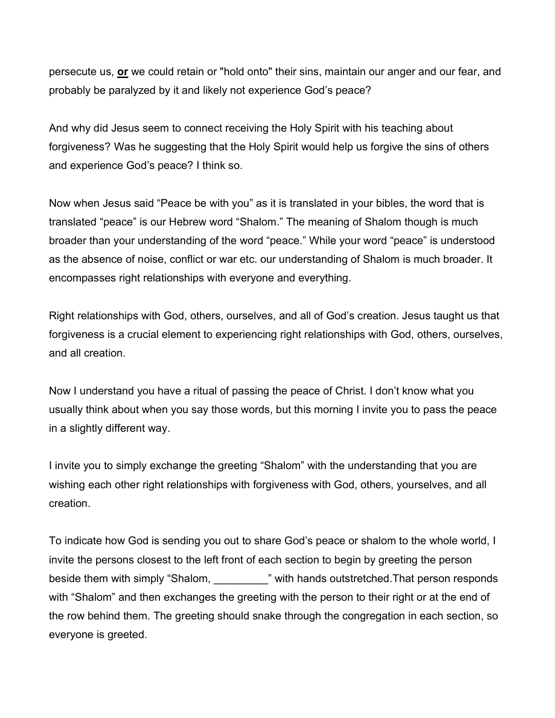persecute us, or we could retain or "hold onto" their sins, maintain our anger and our fear, and probably be paralyzed by it and likely not experience God's peace?

And why did Jesus seem to connect receiving the Holy Spirit with his teaching about forgiveness? Was he suggesting that the Holy Spirit would help us forgive the sins of others and experience God's peace? I think so.

Now when Jesus said "Peace be with you" as it is translated in your bibles, the word that is translated "peace" is our Hebrew word "Shalom." The meaning of Shalom though is much broader than your understanding of the word "peace." While your word "peace" is understood as the absence of noise, conflict or war etc. our understanding of Shalom is much broader. It encompasses right relationships with everyone and everything.

Right relationships with God, others, ourselves, and all of God's creation. Jesus taught us that forgiveness is a crucial element to experiencing right relationships with God, others, ourselves, and all creation.

Now I understand you have a ritual of passing the peace of Christ. I don't know what you usually think about when you say those words, but this morning I invite you to pass the peace in a slightly different way.

I invite you to simply exchange the greeting "Shalom" with the understanding that you are wishing each other right relationships with forgiveness with God, others, yourselves, and all creation.

To indicate how God is sending you out to share God's peace or shalom to the whole world, I invite the persons closest to the left front of each section to begin by greeting the person beside them with simply "Shalom, The Multimum of the Multimum of the simulation of the sector. with "Shalom" and then exchanges the greeting with the person to their right or at the end of the row behind them. The greeting should snake through the congregation in each section, so everyone is greeted.